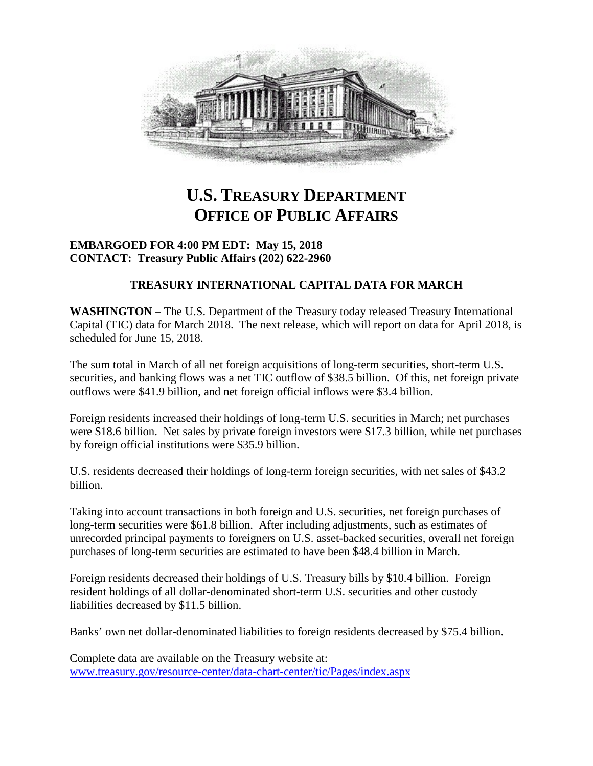

# **U.S. TREASURY DEPARTMENT OFFICE OF PUBLIC AFFAIRS**

## **EMBARGOED FOR 4:00 PM EDT: May 15, 2018 CONTACT: Treasury Public Affairs (202) 622-2960**

# **TREASURY INTERNATIONAL CAPITAL DATA FOR MARCH**

**WASHINGTON** – The U.S. Department of the Treasury today released Treasury International Capital (TIC) data for March 2018. The next release, which will report on data for April 2018, is scheduled for June 15, 2018.

The sum total in March of all net foreign acquisitions of long-term securities, short-term U.S. securities, and banking flows was a net TIC outflow of \$38.5 billion. Of this, net foreign private outflows were \$41.9 billion, and net foreign official inflows were \$3.4 billion.

Foreign residents increased their holdings of long-term U.S. securities in March; net purchases were \$18.6 billion. Net sales by private foreign investors were \$17.3 billion, while net purchases by foreign official institutions were \$35.9 billion.

U.S. residents decreased their holdings of long-term foreign securities, with net sales of \$43.2 billion.

Taking into account transactions in both foreign and U.S. securities, net foreign purchases of long-term securities were \$61.8 billion. After including adjustments, such as estimates of unrecorded principal payments to foreigners on U.S. asset-backed securities, overall net foreign purchases of long-term securities are estimated to have been \$48.4 billion in March.

Foreign residents decreased their holdings of U.S. Treasury bills by \$10.4 billion. Foreign resident holdings of all dollar-denominated short-term U.S. securities and other custody liabilities decreased by \$11.5 billion.

Banks' own net dollar-denominated liabilities to foreign residents decreased by \$75.4 billion.

Complete data are available on the Treasury website at: [www.treasury.gov/resource-center/data-chart-center/tic/Pages/index.aspx](http://www.treasury.gov/resource-center/data-chart-center/tic/Pages/index.aspx)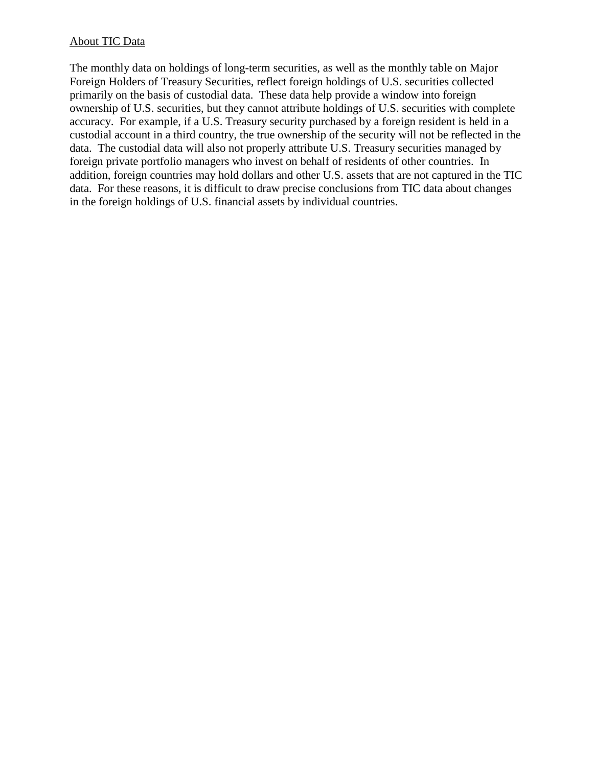## About TIC Data

The monthly data on holdings of long-term securities, as well as the monthly table on Major Foreign Holders of Treasury Securities, reflect foreign holdings of U.S. securities collected primarily on the basis of custodial data. These data help provide a window into foreign ownership of U.S. securities, but they cannot attribute holdings of U.S. securities with complete accuracy. For example, if a U.S. Treasury security purchased by a foreign resident is held in a custodial account in a third country, the true ownership of the security will not be reflected in the data. The custodial data will also not properly attribute U.S. Treasury securities managed by foreign private portfolio managers who invest on behalf of residents of other countries. In addition, foreign countries may hold dollars and other U.S. assets that are not captured in the TIC data. For these reasons, it is difficult to draw precise conclusions from TIC data about changes in the foreign holdings of U.S. financial assets by individual countries.